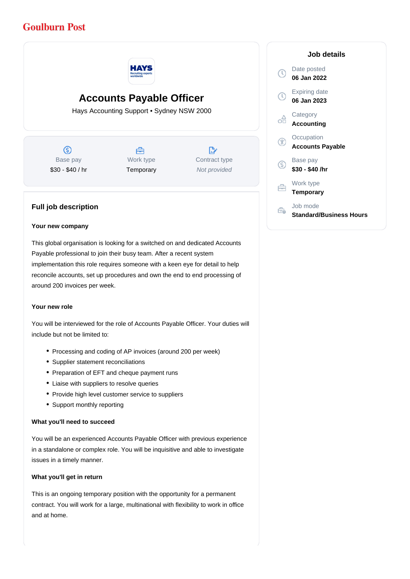# **Goulburn Post**



# **Accounts Payable Officer**

Hays Accounting Support • Sydney NSW 2000

 $\circledS$ Base pay \$30 - \$40 / hr

### A Work type **Temporary**

 $\mathbb{R}^{\cdot}$ Contract type Not provided

## **Full job description**

#### **Your new company**

This global organisation is looking for a switched on and dedicated Accounts Payable professional to join their busy team. After a recent system implementation this role requires someone with a keen eye for detail to help reconcile accounts, set up procedures and own the end to end processing of around 200 invoices per week.

#### **Your new role**

You will be interviewed for the role of Accounts Payable Officer. Your duties will include but not be limited to:

- Processing and coding of AP invoices (around 200 per week)
- Supplier statement reconciliations
- Preparation of EFT and cheque payment runs
- Liaise with suppliers to resolve queries
- Provide high level customer service to suppliers
- Support monthly reporting

#### **What you'll need to succeed**

You will be an experienced Accounts Payable Officer with previous experience in a standalone or complex role. You will be inquisitive and able to investigate issues in a timely manner.

#### **What you'll get in return**

This is an ongoing temporary position with the opportunity for a permanent contract. You will work for a large, multinational with flexibility to work in office and at home.

#### **Job details**